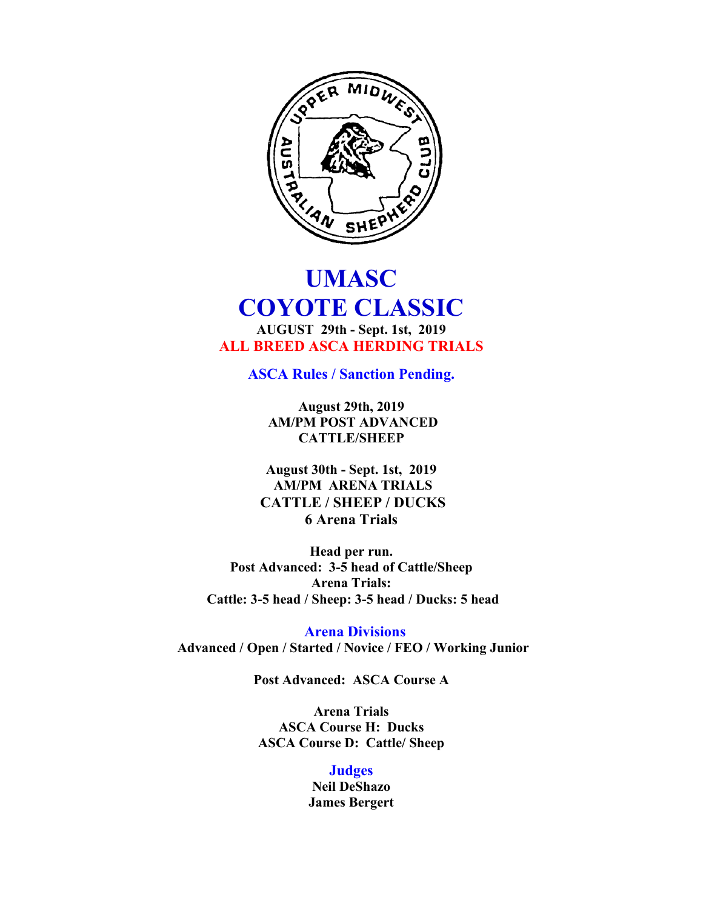

# **UMASC COYOTE CLASSIC AUGUST 29th - Sept. 1st, 2019 ALL BREED ASCA HERDING TRIALS**

**ASCA Rules / Sanction Pending.** 

**August 29th, 2019 AM/PM POST ADVANCED CATTLE/SHEEP**

**August 30th - Sept. 1st, 2019 AM/PM ARENA TRIALS CATTLE / SHEEP / DUCKS 6 Arena Trials**

**Head per run. Post Advanced: 3-5 head of Cattle/Sheep Arena Trials: Cattle: 3-5 head / Sheep: 3-5 head / Ducks: 5 head** 

 **Arena Divisions Advanced / Open / Started / Novice / FEO / Working Junior**

**Post Advanced: ASCA Course A**

**Arena Trials ASCA Course H: Ducks ASCA Course D: Cattle/ Sheep**

> **Judges Neil DeShazo James Bergert**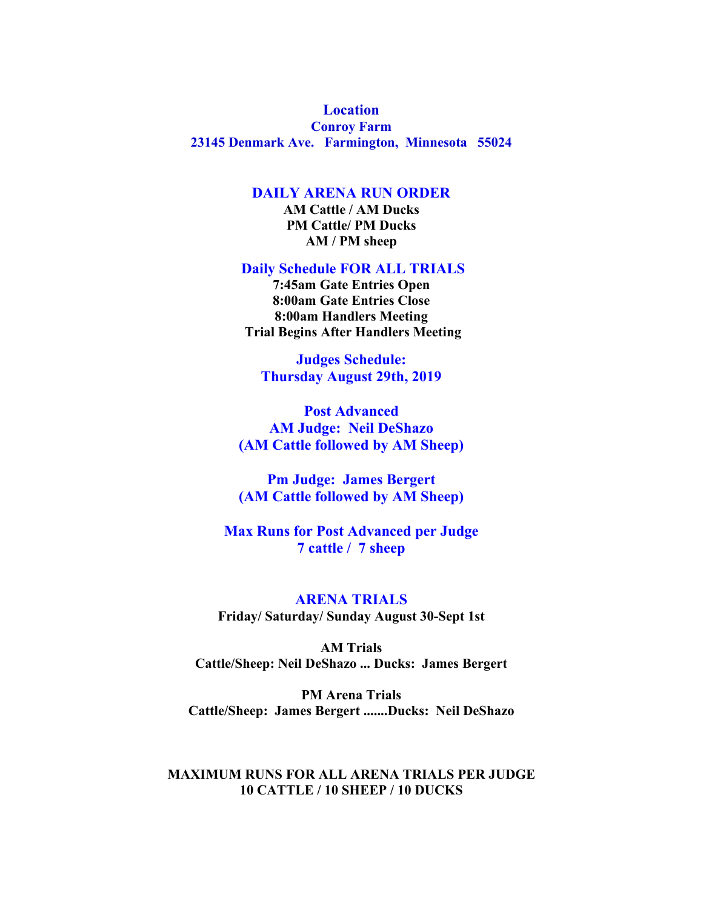# **Location**

**Conroy Farm 23145 Denmark Ave. Farmington, Minnesota 55024**

### **DAILY ARENA RUN ORDER**

**AM Cattle / AM Ducks PM Cattle/ PM Ducks AM / PM sheep**

**Daily Schedule FOR ALL TRIALS**

**7:45am Gate Entries Open 8:00am Gate Entries Close 8:00am Handlers Meeting Trial Begins After Handlers Meeting**

**Judges Schedule: Thursday August 29th, 2019** 

**Post Advanced AM Judge: Neil DeShazo (AM Cattle followed by AM Sheep)**

**Pm Judge: James Bergert (AM Cattle followed by AM Sheep)**

**Max Runs for Post Advanced per Judge 7 cattle / 7 sheep**

**ARENA TRIALS Friday/ Saturday/ Sunday August 30-Sept 1st**

**AM Trials Cattle/Sheep: Neil DeShazo ... Ducks: James Bergert**

**PM Arena Trials Cattle/Sheep: James Bergert .......Ducks: Neil DeShazo** 

#### **MAXIMUM RUNS FOR ALL ARENA TRIALS PER JUDGE 10 CATTLE / 10 SHEEP / 10 DUCKS**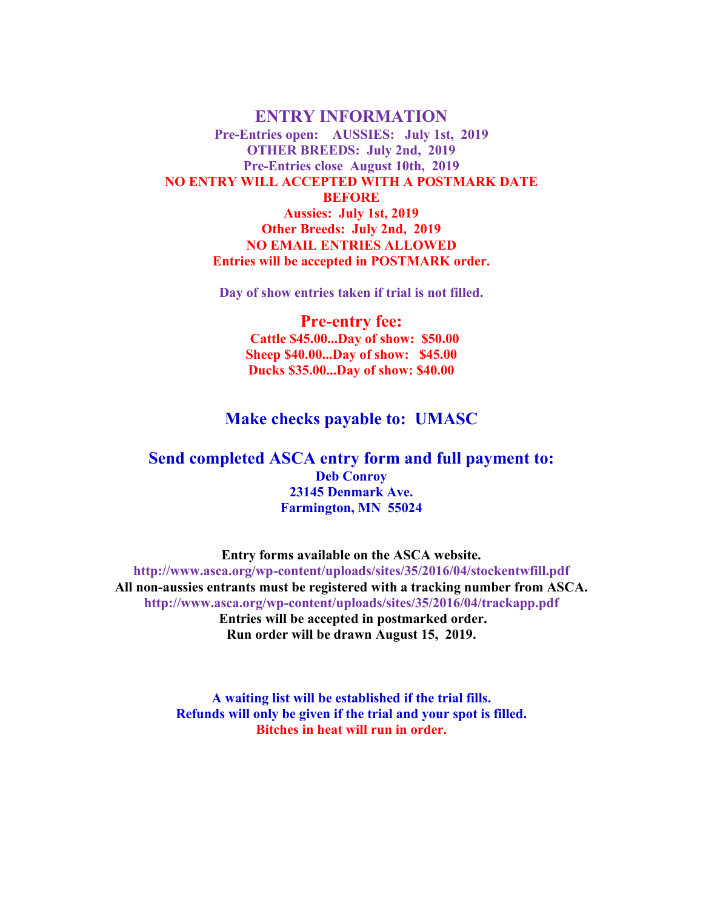**ENTRY INFORMATION Pre-Entries open: AUSSIES: July 1st, 2019 OTHER BREEDS: July 2nd, 2019 Pre-Entries close August 10th, 2019 NO ENTRY WILL ACCEPTED WITH A POSTMARK DATE BEFORE Aussies: July 1st, 2019 Other Breeds: July 2nd, 2019 NO EMAIL ENTRIES ALLOWED Entries will be accepted in POSTMARK order.**

**Day of show entries taken if trial is not filled.**

**Pre-entry fee: Cattle \$45.00...Day of show: \$50.00 Sheep \$40.00...Day of show: \$45.00 Ducks \$35.00...Day of show: \$40.00**

## **Make checks payable to: UMASC**

## **Send completed ASCA entry form and full payment to: Deb Conroy 23145 Denmark Ave. Farmington, MN 55024**

**Entry forms available on the ASCA website. http://www.asca.org/wp-content/uploads/sites/35/2016/04/stockentwfill.pdf All non-aussies entrants must be registered with a tracking number from ASCA. http://www.asca.org/wp-content/uploads/sites/35/2016/04/trackapp.pdf Entries will be accepted in postmarked order. Run order will be drawn August 15, 2019.** 

> **A waiting list will be established if the trial fills. Refunds will only be given if the trial and your spot is filled. Bitches in heat will run in order.**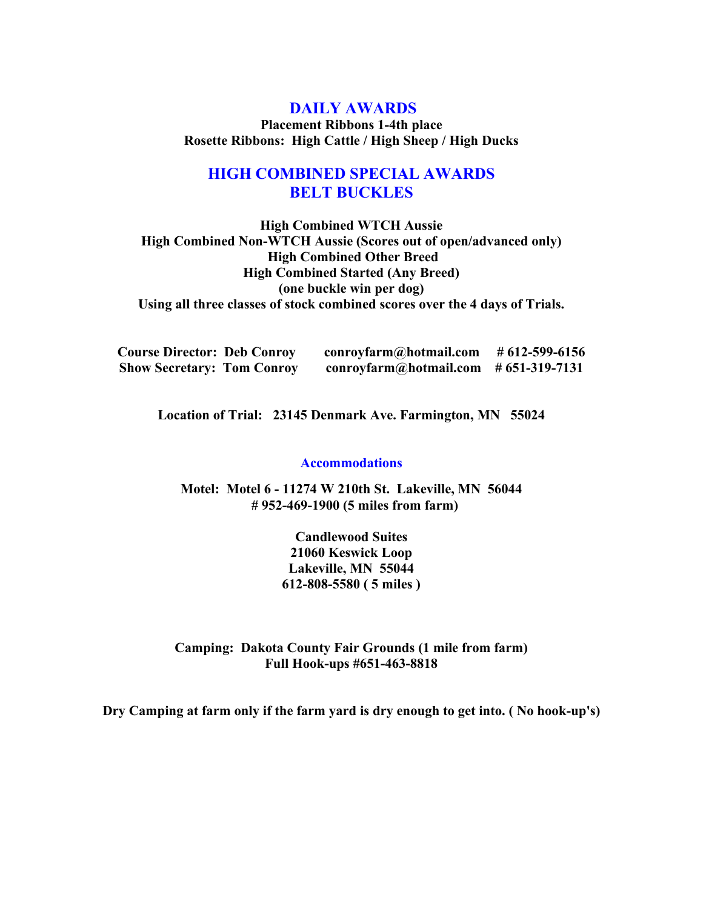## **DAILY AWARDS**

**Placement Ribbons 1-4th place Rosette Ribbons: High Cattle / High Sheep / High Ducks** 

# **HIGH COMBINED SPECIAL AWARDS BELT BUCKLES**

**High Combined WTCH Aussie High Combined Non-WTCH Aussie (Scores out of open/advanced only) High Combined Other Breed High Combined Started (Any Breed) (one buckle win per dog) Using all three classes of stock combined scores over the 4 days of Trials.**

| <b>Course Director: Deb Conroy</b> | conroyfarm@hotmail.com                   | # 612-599-6156 |
|------------------------------------|------------------------------------------|----------------|
| <b>Show Secretary: Tom Conroy</b>  | $conroy farm@hotmail.com$ # 651-319-7131 |                |

**Location of Trial: 23145 Denmark Ave. Farmington, MN 55024**

#### **Accommodations**

**Motel: Motel 6 - 11274 W 210th St. Lakeville, MN 56044 # 952-469-1900 (5 miles from farm)**

> **Candlewood Suites 21060 Keswick Loop Lakeville, MN 55044 612-808-5580 ( 5 miles )**

**Camping: Dakota County Fair Grounds (1 mile from farm) Full Hook-ups #651-463-8818** 

**Dry Camping at farm only if the farm yard is dry enough to get into. ( No hook-up's)**